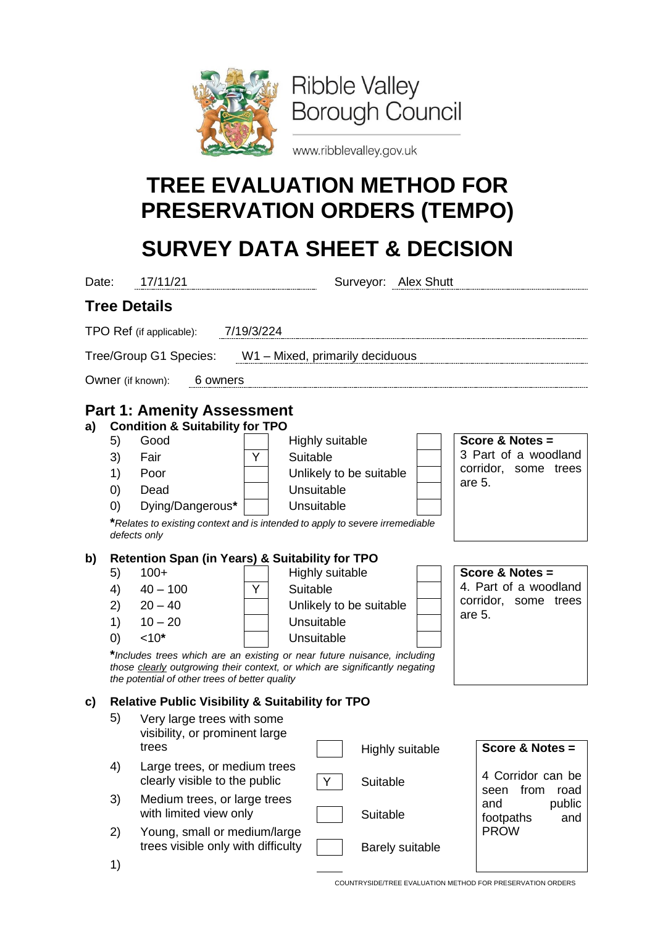

www.ribblevalley.gov.uk

## **TREE EVALUATION METHOD FOR PRESERVATION ORDERS (TEMPO)**

## **SURVEY DATA SHEET & DECISION**

| Date:                                                                                 | 17/11/21                                                                                                                          |                                                                                                                                                       |                                                                                                                                                                                                                            | Surveyor: Alex Shutt |                                                                                    |                                                                                    |                        |                                                                           |                                                                            |  |  |
|---------------------------------------------------------------------------------------|-----------------------------------------------------------------------------------------------------------------------------------|-------------------------------------------------------------------------------------------------------------------------------------------------------|----------------------------------------------------------------------------------------------------------------------------------------------------------------------------------------------------------------------------|----------------------|------------------------------------------------------------------------------------|------------------------------------------------------------------------------------|------------------------|---------------------------------------------------------------------------|----------------------------------------------------------------------------|--|--|
|                                                                                       |                                                                                                                                   | <b>Tree Details</b>                                                                                                                                   |                                                                                                                                                                                                                            |                      |                                                                                    |                                                                                    |                        |                                                                           |                                                                            |  |  |
|                                                                                       |                                                                                                                                   | TPO Ref (if applicable):                                                                                                                              | 7/19/3/224                                                                                                                                                                                                                 |                      |                                                                                    |                                                                                    |                        |                                                                           |                                                                            |  |  |
|                                                                                       |                                                                                                                                   | Tree/Group G1 Species: W1 - Mixed, primarily deciduous                                                                                                |                                                                                                                                                                                                                            |                      |                                                                                    |                                                                                    |                        |                                                                           |                                                                            |  |  |
|                                                                                       |                                                                                                                                   | Owner (if known):<br>6 owners                                                                                                                         |                                                                                                                                                                                                                            |                      |                                                                                    |                                                                                    |                        |                                                                           |                                                                            |  |  |
| <b>Part 1: Amenity Assessment</b><br><b>Condition &amp; Suitability for TPO</b><br>a) |                                                                                                                                   |                                                                                                                                                       |                                                                                                                                                                                                                            |                      |                                                                                    |                                                                                    |                        |                                                                           |                                                                            |  |  |
|                                                                                       | 5)<br>3)<br>1)<br>$\left( 0\right)$<br>$\left( 0\right)$                                                                          | Good<br>Y<br>Fair<br>Poor<br>Dead<br>Dying/Dangerous*<br>*Relates to existing context and is intended to apply to severe irremediable<br>defects only |                                                                                                                                                                                                                            |                      | Highly suitable<br>Suitable<br>Unlikely to be suitable<br>Unsuitable<br>Unsuitable |                                                                                    |                        | Score & Notes =<br>3 Part of a woodland<br>corridor, some trees<br>are 5. |                                                                            |  |  |
| b)                                                                                    | 5)<br>4)<br>2)<br>1)<br>(0)                                                                                                       | $100+$<br>$40 - 100$<br>$20 - 40$<br>$10 - 20$<br>$10*$<br>the potential of other trees of better quality                                             | <b>Retention Span (in Years) &amp; Suitability for TPO</b><br>Y<br>*Includes trees which are an existing or near future nuisance, including<br>those clearly outgrowing their context, or which are significantly negating |                      |                                                                                    | Highly suitable<br>Suitable<br>Unlikely to be suitable<br>Unsuitable<br>Unsuitable |                        |                                                                           | Score & Notes =<br>4. Part of a woodland<br>corridor, some trees<br>are 5. |  |  |
| C)                                                                                    | <b>Relative Public Visibility &amp; Suitability for TPO</b><br>5)<br>Very large trees with some<br>visibility, or prominent large |                                                                                                                                                       |                                                                                                                                                                                                                            |                      |                                                                                    |                                                                                    |                        |                                                                           |                                                                            |  |  |
|                                                                                       | 4)                                                                                                                                | trees<br>Large trees, or medium trees                                                                                                                 |                                                                                                                                                                                                                            |                      |                                                                                    |                                                                                    | <b>Highly suitable</b> |                                                                           | Score & Notes =<br>4 Corridor can be                                       |  |  |
|                                                                                       | 3)                                                                                                                                | clearly visible to the public<br>Medium trees, or large trees<br>with limited view only                                                               |                                                                                                                                                                                                                            |                      | Y                                                                                  | Suitable<br>Suitable                                                               |                        |                                                                           | from<br>seen<br>road<br>public<br>and<br>footpaths<br>and                  |  |  |
|                                                                                       | 2)<br>1)                                                                                                                          | Young, small or medium/large<br>trees visible only with difficulty                                                                                    |                                                                                                                                                                                                                            |                      |                                                                                    |                                                                                    | <b>Barely suitable</b> |                                                                           | <b>PROW</b>                                                                |  |  |

COUNTRYSIDE/TREE EVALUATION METHOD FOR PRESERVATION ORDERS